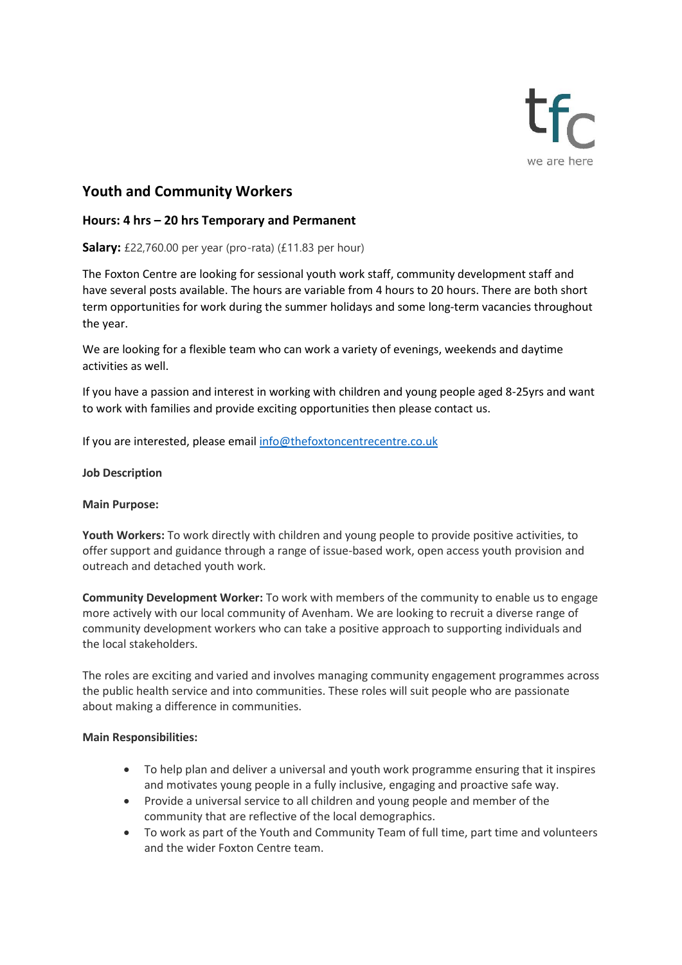

# **Youth and Community Workers**

### **Hours: 4 hrs – 20 hrs Temporary and Permanent**

**Salary:** £22,760.00 per year (pro-rata) (£11.83 per hour)

The Foxton Centre are looking for sessional youth work staff, community development staff and have several posts available. The hours are variable from 4 hours to 20 hours. There are both short term opportunities for work during the summer holidays and some long-term vacancies throughout the year.

We are looking for a flexible team who can work a variety of evenings, weekends and daytime activities as well.

If you have a passion and interest in working with children and young people aged 8-25yrs and want to work with families and provide exciting opportunities then please contact us.

If you are interested, please emai[l info@thefoxtoncentrecentre.co.uk](mailto:info@thefoxtoncentrecentre.co.uk)

#### **Job Description**

#### **Main Purpose:**

**Youth Workers:** To work directly with children and young people to provide positive activities, to offer support and guidance through a range of issue-based work, open access youth provision and outreach and detached youth work.

**Community Development Worker:** To work with members of the community to enable us to engage more actively with our local community of Avenham. We are looking to recruit a diverse range of community development workers who can take a positive approach to supporting individuals and the local stakeholders.

The roles are exciting and varied and involves managing community engagement programmes across the public health service and into communities. These roles will suit people who are passionate about making a difference in communities.

#### **Main Responsibilities:**

- To help plan and deliver a universal and youth work programme ensuring that it inspires and motivates young people in a fully inclusive, engaging and proactive safe way.
- Provide a universal service to all children and young people and member of the community that are reflective of the local demographics.
- To work as part of the Youth and Community Team of full time, part time and volunteers and the wider Foxton Centre team.